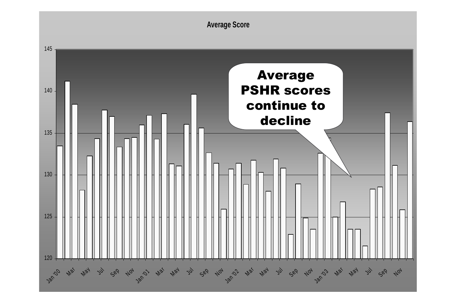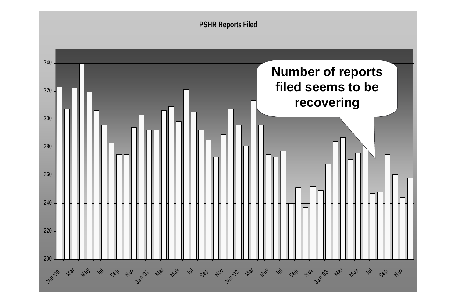